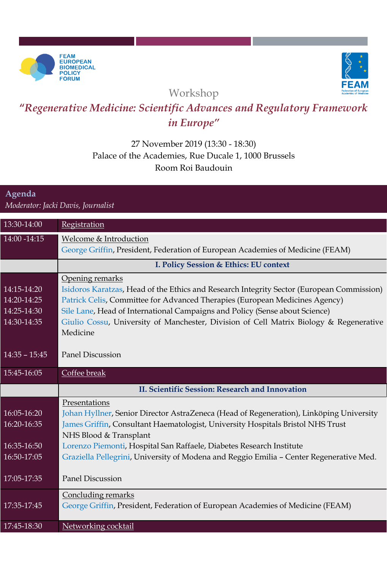



Workshop

# **"***Regenerative Medicine: Scientific Advances and Regulatory Framework in Europe"*

27 November 2019 (13:30 - 18:30) Palace of the Academies, Rue Ducale 1, 1000 Brussels Room Roi Baudouin

| Agenda<br>Moderator: Jacki Davis, Journalist             |                                                                                                                                                                                                                                                                                                                                                                                          |
|----------------------------------------------------------|------------------------------------------------------------------------------------------------------------------------------------------------------------------------------------------------------------------------------------------------------------------------------------------------------------------------------------------------------------------------------------------|
| 13:30-14:00                                              | Registration                                                                                                                                                                                                                                                                                                                                                                             |
| $14:00 - 14:15$                                          | Welcome & Introduction<br>George Griffin, President, Federation of European Academies of Medicine (FEAM)                                                                                                                                                                                                                                                                                 |
|                                                          | I. Policy Session & Ethics: EU context                                                                                                                                                                                                                                                                                                                                                   |
| 14:15-14:20<br>14:20-14:25<br>14:25-14:30<br>14:30-14:35 | Opening remarks<br>Isidoros Karatzas, Head of the Ethics and Research Integrity Sector (European Commission)<br>Patrick Celis, Committee for Advanced Therapies (European Medicines Agency)<br>Sile Lane, Head of International Campaigns and Policy (Sense about Science)<br>Giulio Cossu, University of Manchester, Division of Cell Matrix Biology & Regenerative<br>Medicine         |
| $14:35 - 15:45$                                          | <b>Panel Discussion</b>                                                                                                                                                                                                                                                                                                                                                                  |
| 15:45-16:05                                              | Coffee break                                                                                                                                                                                                                                                                                                                                                                             |
|                                                          | <b>II. Scientific Session: Research and Innovation</b>                                                                                                                                                                                                                                                                                                                                   |
| 16:05-16:20<br>16:20-16:35<br>16:35-16:50<br>16:50-17:05 | Presentations<br>Johan Hyllner, Senior Director AstraZeneca (Head of Regeneration), Linköping University<br>James Griffin, Consultant Haematologist, University Hospitals Bristol NHS Trust<br>NHS Blood & Transplant<br>Lorenzo Piemonti, Hospital San Raffaele, Diabetes Research Institute<br>Graziella Pellegrini, University of Modena and Reggio Emilia - Center Regenerative Med. |
| 17:05-17:35                                              | <b>Panel Discussion</b>                                                                                                                                                                                                                                                                                                                                                                  |
| 17:35-17:45                                              | Concluding remarks<br>George Griffin, President, Federation of European Academies of Medicine (FEAM)                                                                                                                                                                                                                                                                                     |
| 17:45-18:30                                              | Networking cocktail                                                                                                                                                                                                                                                                                                                                                                      |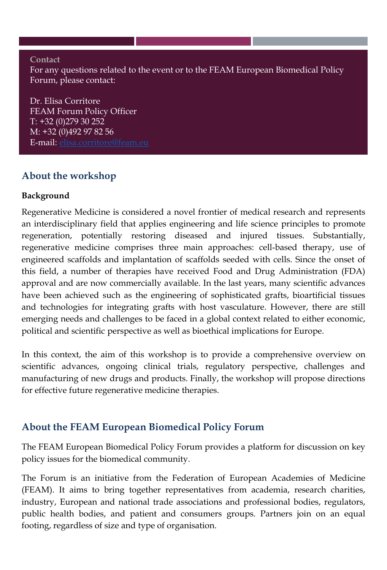#### **Contact** For any questions related to the event or to the FEAM European Biomedical Policy Forum, please contact:

Dr. Elisa Corritore FEAM Forum Policy Officer T: +32 (0)279 30 252 M: +32 (0)492 97 82 56 E-mail: [elisa.corritore@feam.eu](mailto:elisa.corritore@feam.eu)

### **About the workshop**

#### **Background**

Regenerative Medicine is considered a novel frontier of medical research and represents an interdisciplinary field that applies engineering and life science principles to promote regeneration, potentially restoring diseased and injured tissues. Substantially, regenerative medicine comprises three main approaches: cell-based therapy, use of engineered scaffolds and implantation of scaffolds seeded with cells. Since the onset of this field, a number of therapies have received Food and Drug Administration (FDA) approval and are now commercially available. In the last years, many scientific advances have been achieved such as the engineering of sophisticated grafts, bioartificial tissues and technologies for integrating grafts with host vasculature. However, there are still emerging needs and challenges to be faced in a global context related to either economic, political and scientific perspective as well as bioethical implications for Europe.

In this context, the aim of this workshop is to provide a comprehensive overview on scientific advances, ongoing clinical trials, regulatory perspective, challenges and manufacturing of new drugs and products. Finally, the workshop will propose directions for effective future regenerative medicine therapies.

## **About the FEAM European Biomedical Policy Forum**

The FEAM European Biomedical Policy Forum provides a platform for discussion on key policy issues for the biomedical community.

The Forum is an initiative from the Federation of European Academies of Medicine (FEAM). It aims to bring together representatives from academia, research charities, industry, European and national trade associations and professional bodies, regulators, public health bodies, and patient and consumers groups. Partners join on an equal footing, regardless of size and type of organisation.